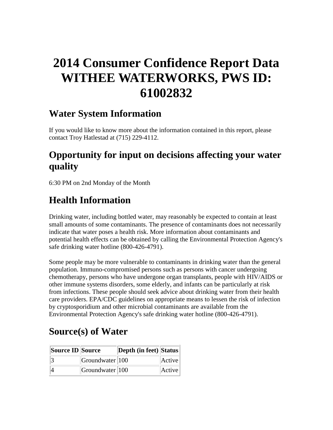# **2014 Consumer Confidence Report Data WITHEE WATERWORKS, PWS ID: 61002832**

#### **Water System Information**

If you would like to know more about the information contained in this report, please contact Troy Hatlestad at (715) 229-4112.

### **Opportunity for input on decisions affecting your water quality**

6:30 PM on 2nd Monday of the Month

### **Health Information**

Drinking water, including bottled water, may reasonably be expected to contain at least small amounts of some contaminants. The presence of contaminants does not necessarily indicate that water poses a health risk. More information about contaminants and potential health effects can be obtained by calling the Environmental Protection Agency's safe drinking water hotline (800-426-4791).

Some people may be more vulnerable to contaminants in drinking water than the general population. Immuno-compromised persons such as persons with cancer undergoing chemotherapy, persons who have undergone organ transplants, people with HIV/AIDS or other immune systems disorders, some elderly, and infants can be particularly at risk from infections. These people should seek advice about drinking water from their health care providers. EPA/CDC guidelines on appropriate means to lessen the risk of infection by cryptosporidium and other microbial contaminants are available from the Environmental Protection Agency's safe drinking water hotline (800-426-4791).

### **Source(s) of Water**

| Source ID Source |                        | Depth (in feet) Status |        |
|------------------|------------------------|------------------------|--------|
|                  | $ G$ roundwater $ 100$ |                        | Active |
|                  | $ G$ roundwater $ 100$ |                        | Active |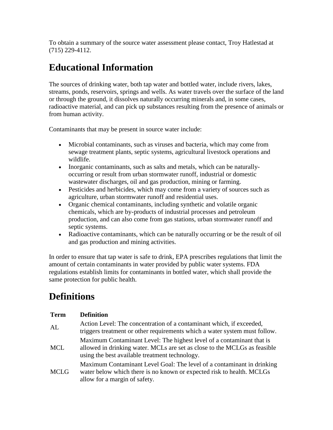To obtain a summary of the source water assessment please contact, Troy Hatlestad at (715) 229-4112.

## **Educational Information**

The sources of drinking water, both tap water and bottled water, include rivers, lakes, streams, ponds, reservoirs, springs and wells. As water travels over the surface of the land or through the ground, it dissolves naturally occurring minerals and, in some cases, radioactive material, and can pick up substances resulting from the presence of animals or from human activity.

Contaminants that may be present in source water include:

- Microbial contaminants, such as viruses and bacteria, which may come from sewage treatment plants, septic systems, agricultural livestock operations and wildlife.
- Inorganic contaminants, such as salts and metals, which can be naturallyoccurring or result from urban stormwater runoff, industrial or domestic wastewater discharges, oil and gas production, mining or farming.
- Pesticides and herbicides, which may come from a variety of sources such as agriculture, urban stormwater runoff and residential uses.
- Organic chemical contaminants, including synthetic and volatile organic chemicals, which are by-products of industrial processes and petroleum production, and can also come from gas stations, urban stormwater runoff and septic systems.
- Radioactive contaminants, which can be naturally occurring or be the result of oil and gas production and mining activities.

In order to ensure that tap water is safe to drink, EPA prescribes regulations that limit the amount of certain contaminants in water provided by public water systems. FDA regulations establish limits for contaminants in bottled water, which shall provide the same protection for public health.

## **Definitions**

| <b>Term</b> | <b>Definition</b>                                                                                                                                                                                    |
|-------------|------------------------------------------------------------------------------------------------------------------------------------------------------------------------------------------------------|
| AL          | Action Level: The concentration of a contaminant which, if exceeded,<br>triggers treatment or other requirements which a water system must follow.                                                   |
| <b>MCL</b>  | Maximum Contaminant Level: The highest level of a contaminant that is<br>allowed in drinking water. MCLs are set as close to the MCLGs as feasible<br>using the best available treatment technology. |
| <b>MCLG</b> | Maximum Contaminant Level Goal: The level of a contaminant in drinking<br>water below which there is no known or expected risk to health. MCLGs<br>allow for a margin of safety.                     |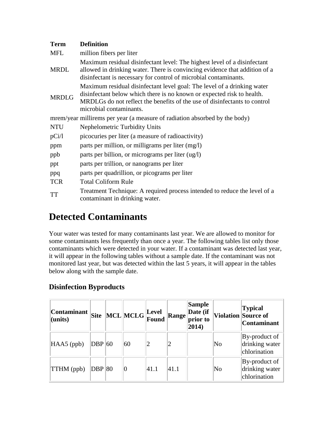| <b>Term</b>  | <b>Definition</b>                                                                                                                                                                                                                                         |
|--------------|-----------------------------------------------------------------------------------------------------------------------------------------------------------------------------------------------------------------------------------------------------------|
| <b>MFL</b>   | million fibers per liter                                                                                                                                                                                                                                  |
| <b>MRDL</b>  | Maximum residual disinfectant level: The highest level of a disinfectant<br>allowed in drinking water. There is convincing evidence that addition of a<br>disinfectant is necessary for control of microbial contaminants.                                |
| <b>MRDLG</b> | Maximum residual disinfectant level goal: The level of a drinking water<br>disinfectant below which there is no known or expected risk to health.<br>MRDLGs do not reflect the benefits of the use of disinfectants to control<br>microbial contaminants. |
|              | mrem/year millirems per year (a measure of radiation absorbed by the body)                                                                                                                                                                                |
| <b>NTU</b>   | <b>Nephelometric Turbidity Units</b>                                                                                                                                                                                                                      |
| pCi/1        | picocuries per liter (a measure of radioactivity)                                                                                                                                                                                                         |
| ppm          | parts per million, or milligrams per liter (mg/l)                                                                                                                                                                                                         |
| ppb          | parts per billion, or micrograms per liter (ug/l)                                                                                                                                                                                                         |
| ppt          | parts per trillion, or nanograms per liter                                                                                                                                                                                                                |
| ppq          | parts per quadrillion, or picograms per liter                                                                                                                                                                                                             |
| <b>TCR</b>   | <b>Total Coliform Rule</b>                                                                                                                                                                                                                                |
| <b>TT</b>    | Treatment Technique: A required process intended to reduce the level of a<br>contaminant in drinking water.                                                                                                                                               |

### **Detected Contaminants**

Your water was tested for many contaminants last year. We are allowed to monitor for some contaminants less frequently than once a year. The following tables list only those contaminants which were detected in your water. If a contaminant was detected last year, it will appear in the following tables without a sample date. If the contaminant was not monitored last year, but was detected within the last 5 years, it will appear in the tables below along with the sample date.

#### **Disinfection Byproducts**

| Contaminant <br>$ $ (units) | <b>Site</b> | $\left\vert \text{MCL} \right\vert$ MCLG $\left\vert \text{Level} \right\vert$ Found |      | Range | <b>Sample</b><br>Date (if<br>prior to<br>$ 2014\rangle$ |    | <b>Typical</b><br>Violation Source of<br><b>Contaminant</b> |
|-----------------------------|-------------|--------------------------------------------------------------------------------------|------|-------|---------------------------------------------------------|----|-------------------------------------------------------------|
| $HAAS$ (ppb)                | $DBP$ 60    | 60                                                                                   | 2    |       |                                                         | No | By-product of<br>drinking water<br>chlorination             |
| $\ THM$ (ppb)               | DBP 80      |                                                                                      | 41.1 | 41.1  |                                                         | No | By-product of<br>drinking water<br>chlorination             |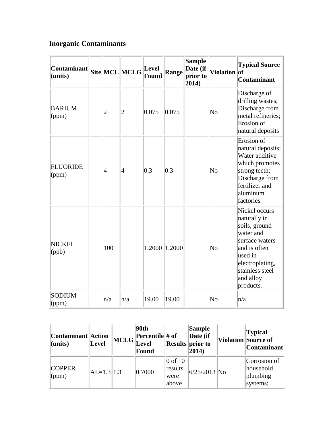#### **Inorganic Contaminants**

| Contaminant<br>(units)   |                | Site MCL MCLG  | Level<br>Found | Range  | <b>Sample</b><br>Date (if<br>prior to<br>2014) | Violation of           | <b>Typical Source</b><br>Contaminant                                                                                                                                     |
|--------------------------|----------------|----------------|----------------|--------|------------------------------------------------|------------------------|--------------------------------------------------------------------------------------------------------------------------------------------------------------------------|
| <b>BARIUM</b><br>(ppm)   | $\overline{c}$ | $\overline{c}$ | 0.075          | 0.075  |                                                | $\overline{\text{No}}$ | Discharge of<br>drilling wastes;<br>Discharge from<br>metal refineries;<br>Erosion of<br>natural deposits                                                                |
| <b>FLUORIDE</b><br>(ppm) | $\overline{4}$ | 4              | 0.3            | 0.3    |                                                | $\overline{\text{No}}$ | Erosion of<br>natural deposits;<br>Water additive<br>which promotes<br>strong teeth;<br>Discharge from<br>fertilizer and<br>aluminum<br>factories                        |
| NICKEL<br>(ppb)          | 100            |                | 1.2000         | 1.2000 |                                                | $\overline{\text{No}}$ | Nickel occurs<br>naturally in<br>soils, ground<br>water and<br>surface waters<br>and is often<br>used in<br>electroplating,<br>stainless steel<br>and alloy<br>products. |
| <b>SODIUM</b><br>(ppm)   | n/a            | n/a            | 19.00          | 19.00  |                                                | $\overline{\text{No}}$ | n/a                                                                                                                                                                      |

| Contaminant Action<br>$l$ (units) | Level         | 90th<br><b>T</b> $\ $ MCLG $\ $ <b>Percentile</b> # of<br><b>Level</b><br>Found |                                       | <b>Sample</b><br>Date (if<br><b>Results</b> prior to<br>$ 2014\rangle$ | <b>Typical</b><br>Violation Source of<br>Contaminant |
|-----------------------------------|---------------|---------------------------------------------------------------------------------|---------------------------------------|------------------------------------------------------------------------|------------------------------------------------------|
| <b>COPPER</b><br>$\gamma$ (ppm)   | $ AL=1.3 1.3$ | 0.7000                                                                          | $0$ of 10<br>results<br>were<br>above | $6/25/2013$ No                                                         | Corrosion of<br>household<br>plumbing<br>systems;    |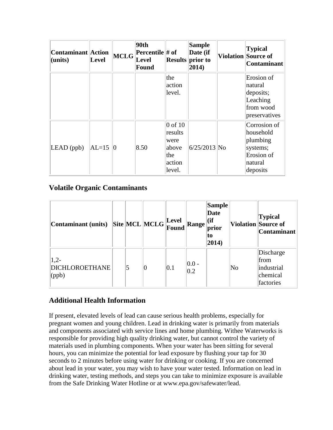| Contaminant Action<br>(units) | <b>Level</b> | MCLG | 90th<br>Percentile # of<br>Level<br><b>Found</b> |                                                                  | <b>Sample</b><br>Date (if<br><b>Results</b> prior to<br>$ 2014\rangle$ | <b>Typical</b><br><b>Violation Source of</b><br><b>Contaminant</b>                     |
|-------------------------------|--------------|------|--------------------------------------------------|------------------------------------------------------------------|------------------------------------------------------------------------|----------------------------------------------------------------------------------------|
|                               |              |      |                                                  | the<br>action<br>level.                                          |                                                                        | Erosion of<br>natural<br>deposits;<br>Leaching<br>from wood<br>preservatives           |
| $LEAD$ (ppb)                  | $ AL=15 0$   |      | 8.50                                             | $0$ of 10<br>results<br>were<br>above<br>the<br>action<br>level. | $6/25/2013$ No                                                         | Corrosion of<br>household<br>plumbing<br>systems;<br>Erosion of<br>natural<br>deposits |

#### **Volatile Organic Contaminants**

| Contaminant (units)                              |  | $\boxed{\text{Site}}\boxed{\text{MCL}}\boxed{\text{MCLG}}\boxed{\text{Level}}$ |     | Range           | <b>Sample</b><br>Date<br>$\vert$ (if<br>prior<br>to<br>$ 2014\rangle$ |                        | <b>Typical</b><br>Violation Source of<br><b>Contaminant</b> |
|--------------------------------------------------|--|--------------------------------------------------------------------------------|-----|-----------------|-----------------------------------------------------------------------|------------------------|-------------------------------------------------------------|
| $1,2-$<br><b>DICHLOROETHANE</b><br>$\vert$ (ppb) |  | 10                                                                             | 0.1 | $ 0.0 -$<br>0.2 |                                                                       | $\overline{\text{No}}$ | Discharge<br>from<br>industrial<br>chemical<br>factories    |

#### **Additional Health Information**

If present, elevated levels of lead can cause serious health problems, especially for pregnant women and young children. Lead in drinking water is primarily from materials and components associated with service lines and home plumbing. Withee Waterworks is responsible for providing high quality drinking water, but cannot control the variety of materials used in plumbing components. When your water has been sitting for several hours, you can minimize the potential for lead exposure by flushing your tap for 30 seconds to 2 minutes before using water for drinking or cooking. If you are concerned about lead in your water, you may wish to have your water tested. Information on lead in drinking water, testing methods, and steps you can take to minimize exposure is available from the Safe Drinking Water Hotline or at www.epa.gov/safewater/lead.